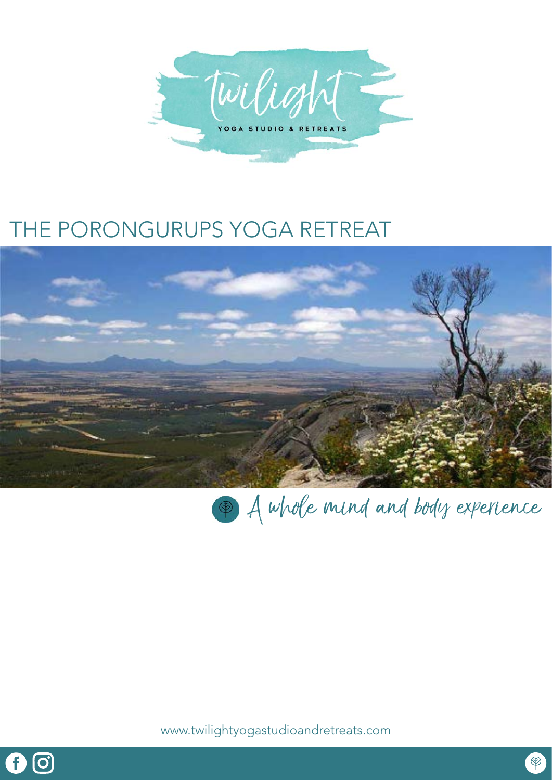

# THE PORONGURUPS YOGA RETREAT





www.twilightyogastudioandretreats.com

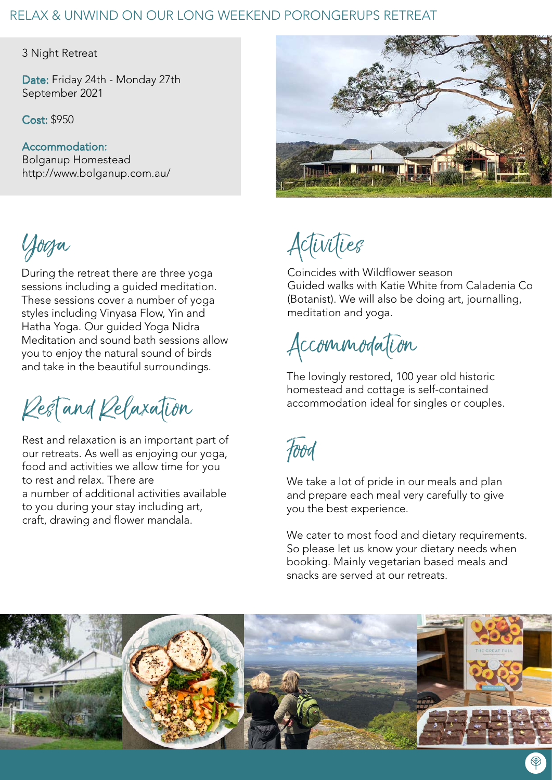# RELAX & UNWIND ON OUR LONG WEEKEND PORONGERUPS RETREAT

3 Night Retreat

Date: Friday 24th - Monday 27th September 2021

Cost: \$950

Accommodation: Bolganup Homestead http://www.bolganup.com.au/

During the retreat there are three yoga sessions including a guided meditation. These sessions cover a number of yoga styles including Vinyasa Flow, Yin and Hatha Yoga. Our guided Yoga Nidra Meditation and sound bath sessions allow you to enjoy the natural sound of birds and take in the beautiful surroundings.

Rest and Relaxation

Rest and relaxation is an important part of our retreats. As well as enjoying our yoga, food and activities we allow time for you to rest and relax. There are a number of additional activities available to you during your stay including art, craft, drawing and flower mandala.



Yoga Activities

Coincides with Wildflower season Guided walks with Katie White from Caladenia Co (Botanist). We will also be doing art, journalling, meditation and yoga.

Accommodation

The lovingly restored, 100 year old historic homestead and cottage is self-contained accommodation ideal for singles or couples.

Food

We take a lot of pride in our meals and plan and prepare each meal very carefully to give you the best experience.

We cater to most food and dietary requirements. So please let us know your dietary needs when booking. Mainly vegetarian based meals and snacks are served at our retreats.

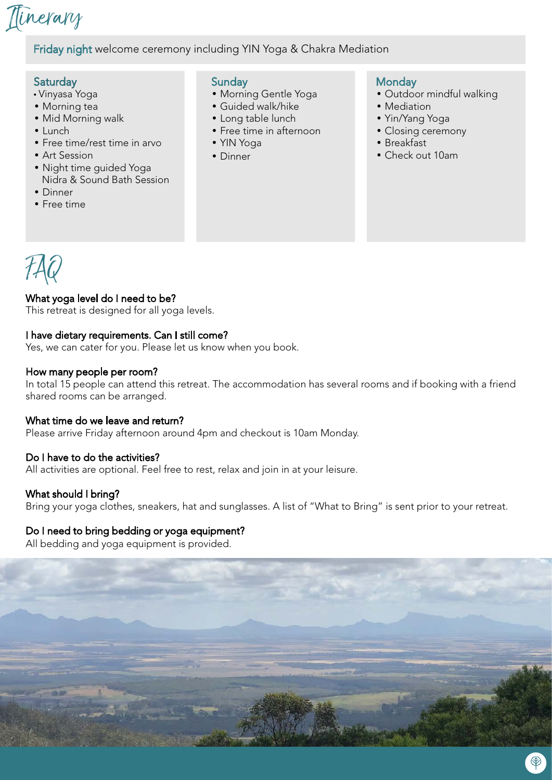

# Friday night welcome ceremony including YIN Yoga & Chakra Mediation

#### **Saturday**

- Vinyasa Yoga
- Morning tea
- Mid Morning walk
- Lunch
- Free time/rest time in arvo
- Art Session
- Night time guided Yoga Nidra & Sound Bath Session
- Dinner
- Free time

#### **Sunday**

- Morning Gentle Yoga
- Guided walk/hike
- Long table lunch
- Free time in afternoon
- YIN Yoga
- Dinner

### **Monday**

- Outdoor mindful walking
- Mediation
- Yin/Yang Yoga
- Closing ceremony
- Breakfast
- Check out 10am



# What yoga level do I need to be?

This retreat is designed for all yoga levels.

### I have dietary requirements. Can I still come?

Yes, we can cater for you. Please let us know when you book.

#### How many people per room?

In total 15 people can attend this retreat. The accommodation has several rooms and if booking with a friend shared rooms can be arranged.

#### What time do we leave and return?

Please arrive Friday afternoon around 4pm and checkout is 10am Monday.

# Do I have to do the activities?

All activities are optional. Feel free to rest, relax and join in at your leisure.

# What should I bring?

Bring your yoga clothes, sneakers, hat and sunglasses. A list of "What to Bring" is sent prior to your retreat.

# Do I need to bring bedding or yoga equipment?

All bedding and yoga equipment is provided.